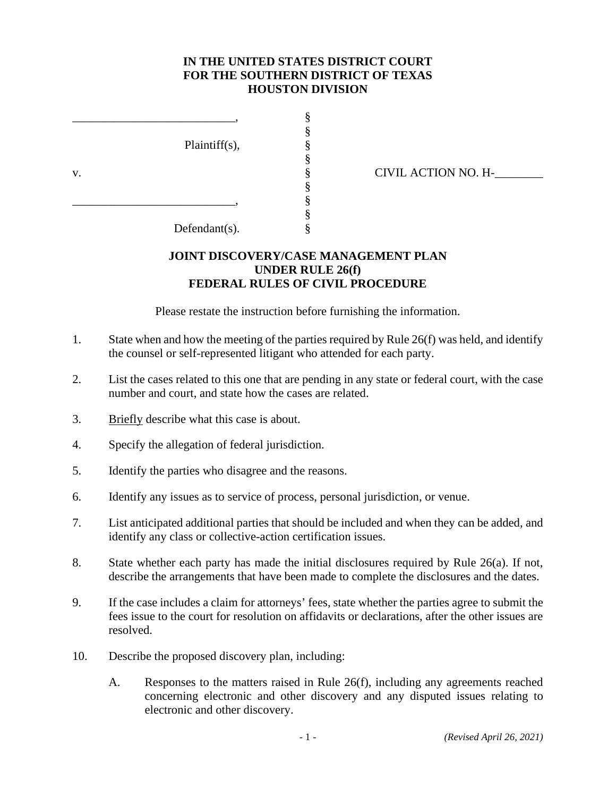## **IN THE UNITED STATES DISTRICT COURT FOR THE SOUTHERN DISTRICT OF TEXAS HOUSTON DIVISION**

§<br>§

§<br>§

§

§

 $Plaintiff(s)$ ,

 $\sim$   $\frac{8}{3}$ 

 $\sim$   $\frac{8}{3}$ 

v. § CIVIL ACTION NO. H-\_\_\_\_\_\_\_\_

Defendant(s). §

## **JOINT DISCOVERY/CASE MANAGEMENT PLAN UNDER RULE 26(f) FEDERAL RULES OF CIVIL PROCEDURE**

Please restate the instruction before furnishing the information.

- 1. State when and how the meeting of the parties required by Rule 26(f) was held, and identify the counsel or self-represented litigant who attended for each party.
- 2. List the cases related to this one that are pending in any state or federal court, with the case number and court, and state how the cases are related.
- 3. Briefly describe what this case is about.
- 4. Specify the allegation of federal jurisdiction.
- 5. Identify the parties who disagree and the reasons.
- 6. Identify any issues as to service of process, personal jurisdiction, or venue.
- 7. List anticipated additional parties that should be included and when they can be added, and identify any class or collective-action certification issues.
- 8. State whether each party has made the initial disclosures required by Rule 26(a). If not, describe the arrangements that have been made to complete the disclosures and the dates.
- 9. If the case includes a claim for attorneys' fees, state whether the parties agree to submit the fees issue to the court for resolution on affidavits or declarations, after the other issues are resolved.
- 10. Describe the proposed discovery plan, including:
	- A. Responses to the matters raised in Rule 26(f), including any agreements reached concerning electronic and other discovery and any disputed issues relating to electronic and other discovery.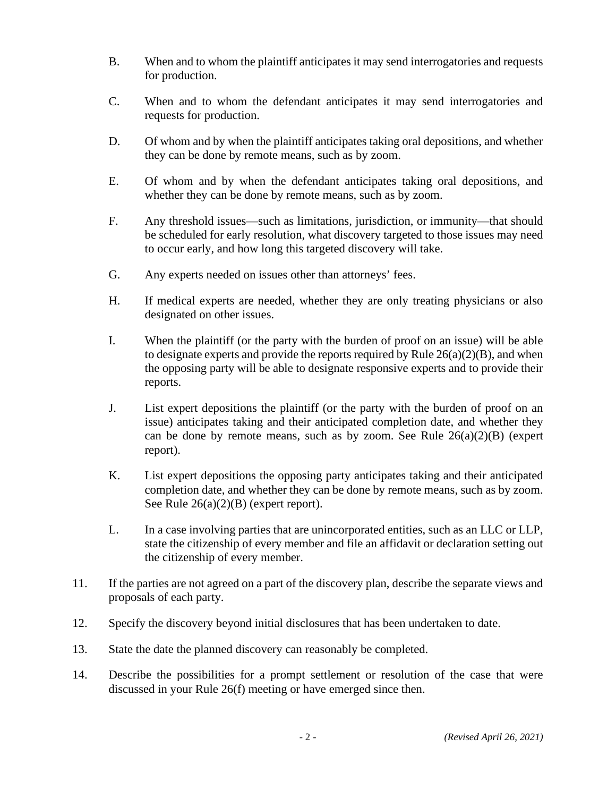- B. When and to whom the plaintiff anticipates it may send interrogatories and requests for production.
- C. When and to whom the defendant anticipates it may send interrogatories and requests for production.
- D. Of whom and by when the plaintiff anticipates taking oral depositions, and whether they can be done by remote means, such as by zoom.
- E. Of whom and by when the defendant anticipates taking oral depositions, and whether they can be done by remote means, such as by zoom.
- F. Any threshold issues—such as limitations, jurisdiction, or immunity—that should be scheduled for early resolution, what discovery targeted to those issues may need to occur early, and how long this targeted discovery will take.
- G. Any experts needed on issues other than attorneys' fees.
- H. If medical experts are needed, whether they are only treating physicians or also designated on other issues.
- I. When the plaintiff (or the party with the burden of proof on an issue) will be able to designate experts and provide the reports required by Rule  $26(a)(2)(B)$ , and when the opposing party will be able to designate responsive experts and to provide their reports.
- J. List expert depositions the plaintiff (or the party with the burden of proof on an issue) anticipates taking and their anticipated completion date, and whether they can be done by remote means, such as by zoom. See Rule  $26(a)(2)(B)$  (expert report).
- K. List expert depositions the opposing party anticipates taking and their anticipated completion date, and whether they can be done by remote means, such as by zoom. See Rule  $26(a)(2)(B)$  (expert report).
- L. In a case involving parties that are unincorporated entities, such as an LLC or LLP, state the citizenship of every member and file an affidavit or declaration setting out the citizenship of every member.
- 11. If the parties are not agreed on a part of the discovery plan, describe the separate views and proposals of each party.
- 12. Specify the discovery beyond initial disclosures that has been undertaken to date.
- 13. State the date the planned discovery can reasonably be completed.
- 14. Describe the possibilities for a prompt settlement or resolution of the case that were discussed in your Rule 26(f) meeting or have emerged since then.